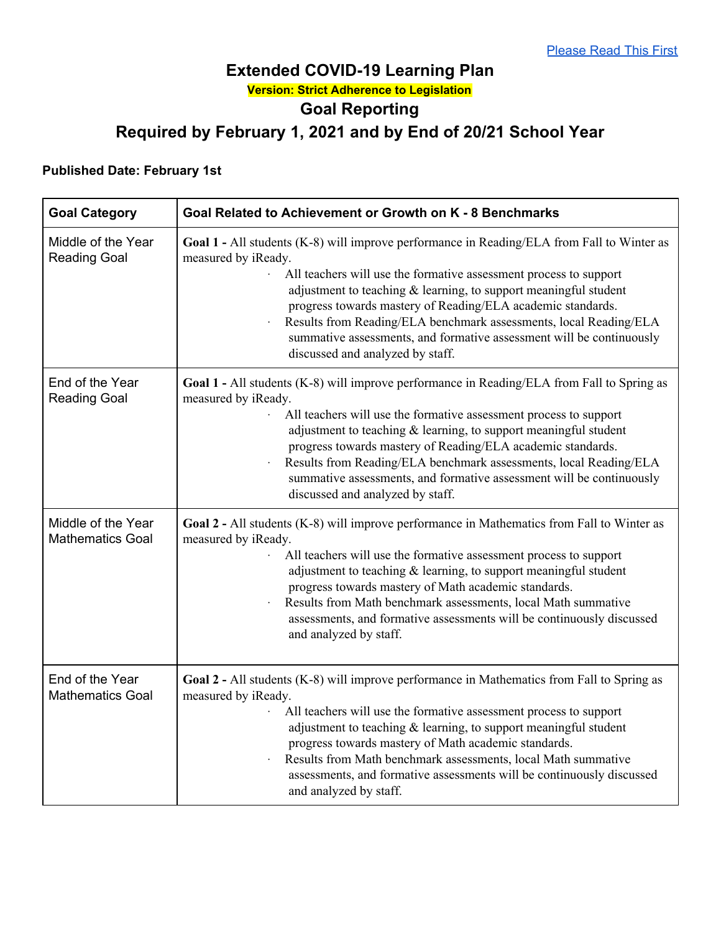## **Extended COVID-19 Learning Plan Version: Strict Adherence to Legislation Goal Reporting Required by February 1, 2021 and by End of 20/21 School Year**

## **Published Date: February 1st**

| <b>Goal Category</b>                          | Goal Related to Achievement or Growth on K - 8 Benchmarks                                                                                                                                                                                                                                                                                                                                                                                                                                                     |  |  |  |
|-----------------------------------------------|---------------------------------------------------------------------------------------------------------------------------------------------------------------------------------------------------------------------------------------------------------------------------------------------------------------------------------------------------------------------------------------------------------------------------------------------------------------------------------------------------------------|--|--|--|
| Middle of the Year<br><b>Reading Goal</b>     | Goal 1 - All students (K-8) will improve performance in Reading/ELA from Fall to Winter as<br>measured by iReady.<br>All teachers will use the formative assessment process to support<br>adjustment to teaching $\&$ learning, to support meaningful student<br>progress towards mastery of Reading/ELA academic standards.<br>Results from Reading/ELA benchmark assessments, local Reading/ELA<br>summative assessments, and formative assessment will be continuously<br>discussed and analyzed by staff. |  |  |  |
| End of the Year<br><b>Reading Goal</b>        | Goal 1 - All students (K-8) will improve performance in Reading/ELA from Fall to Spring as<br>measured by iReady.<br>All teachers will use the formative assessment process to support<br>adjustment to teaching & learning, to support meaningful student<br>progress towards mastery of Reading/ELA academic standards.<br>Results from Reading/ELA benchmark assessments, local Reading/ELA<br>summative assessments, and formative assessment will be continuously<br>discussed and analyzed by staff.    |  |  |  |
| Middle of the Year<br><b>Mathematics Goal</b> | Goal 2 - All students (K-8) will improve performance in Mathematics from Fall to Winter as<br>measured by iReady.<br>All teachers will use the formative assessment process to support<br>adjustment to teaching $\&$ learning, to support meaningful student<br>progress towards mastery of Math academic standards.<br>Results from Math benchmark assessments, local Math summative<br>assessments, and formative assessments will be continuously discussed<br>and analyzed by staff.                     |  |  |  |
| End of the Year<br><b>Mathematics Goal</b>    | Goal 2 - All students (K-8) will improve performance in Mathematics from Fall to Spring as<br>measured by iReady.<br>All teachers will use the formative assessment process to support<br>adjustment to teaching $\&$ learning, to support meaningful student<br>progress towards mastery of Math academic standards.<br>Results from Math benchmark assessments, local Math summative<br>assessments, and formative assessments will be continuously discussed<br>and analyzed by staff.                     |  |  |  |